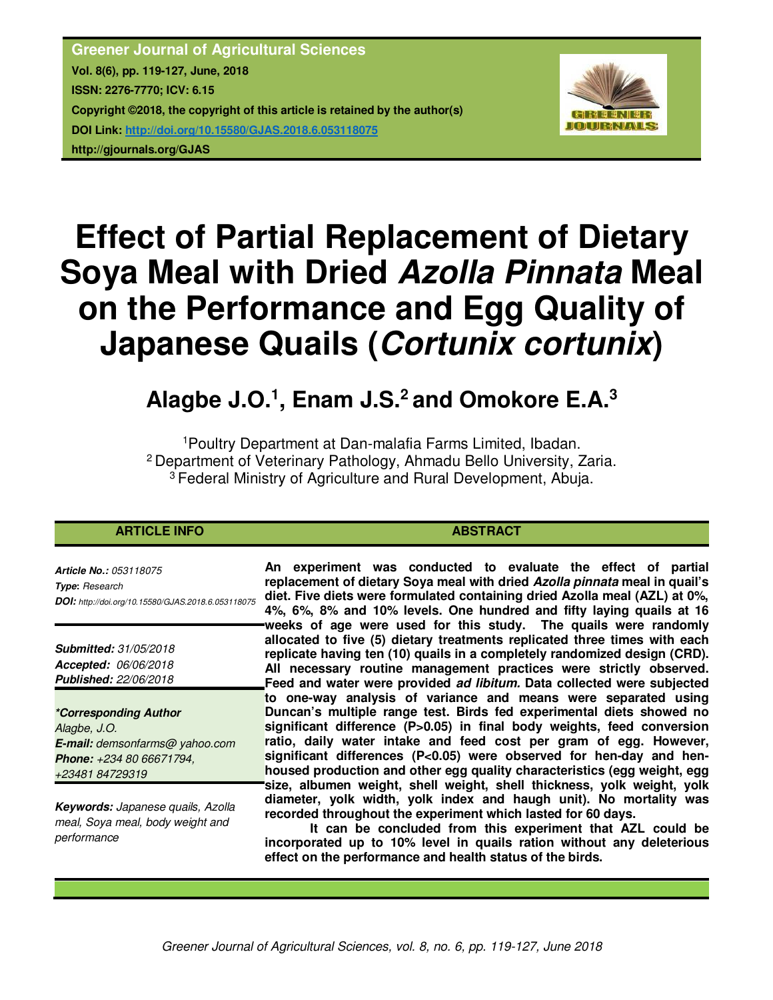**Greener Journal of Agricultural Sciences Vol. 8(6), pp. 119-127, June, 2018 ISSN: 2276-7770; ICV: 6.15 Copyright ©2018, the copyright of this article is retained by the author(s) DOI Link: http://doi.org/10.15580/GJAS.2018.6.053118075 http://gjournals.org/GJAS**



# **Effect of Partial Replacement of Dietary Soya Meal with Dried** *Azolla Pinnata* **Meal on the Performance and Egg Quality of Japanese Quails (***Cortunix cortunix***)**

## **Alagbe J.O.<sup>1</sup> , Enam J.S.<sup>2</sup>and Omokore E.A.<sup>3</sup>**

<sup>1</sup>Poultry Department at Dan-malafia Farms Limited, Ibadan. <sup>2</sup> Department of Veterinary Pathology, Ahmadu Bello University, Zaria. <sup>3</sup>Federal Ministry of Agriculture and Rural Development, Abuja.

#### **ARTICLE INFO ABSTRACT**

*Article No.: 053118075 Type***:** *Research DOI: http://doi.org/10.15580/GJAS.2018.6.053118075*

*Submitted: 31/05/2018 Accepted: 06/06/2018 Published: 22/06/2018*

*\*Corresponding Author Alagbe, J.O. E-mail: demsonfarms@ yahoo.com Phone: +234 80 66671794, +23481 84729319*

*Keywords: Japanese quails, Azolla meal, Soya meal, body weight and performance*

**An experiment was conducted to evaluate the effect of partial replacement of dietary Soya meal with dried** *Azolla pinnata* **meal in quail's diet. Five diets were formulated containing dried Azolla meal (AZL) at 0%, 4%, 6%, 8% and 10% levels. One hundred and fifty laying quails at 16 weeks of age were used for this study. The quails were randomly allocated to five (5) dietary treatments replicated three times with each replicate having ten (10) quails in a completely randomized design (CRD). All necessary routine management practices were strictly observed. Feed and water were provided** *ad libitum.* **Data collected were subjected to one-way analysis of variance and means were separated using Duncan's multiple range test. Birds fed experimental diets showed no significant difference (P>0.05) in final body weights, feed conversion ratio, daily water intake and feed cost per gram of egg. However, significant differences (P<0.05) were observed for hen-day and henhoused production and other egg quality characteristics (egg weight, egg size, albumen weight, shell weight, shell thickness, yolk weight, yolk diameter, yolk width, yolk index and haugh unit). No mortality was recorded throughout the experiment which lasted for 60 days.** 

**It can be concluded from this experiment that AZL could be incorporated up to 10% level in quails ration without any deleterious effect on the performance and health status of the birds.**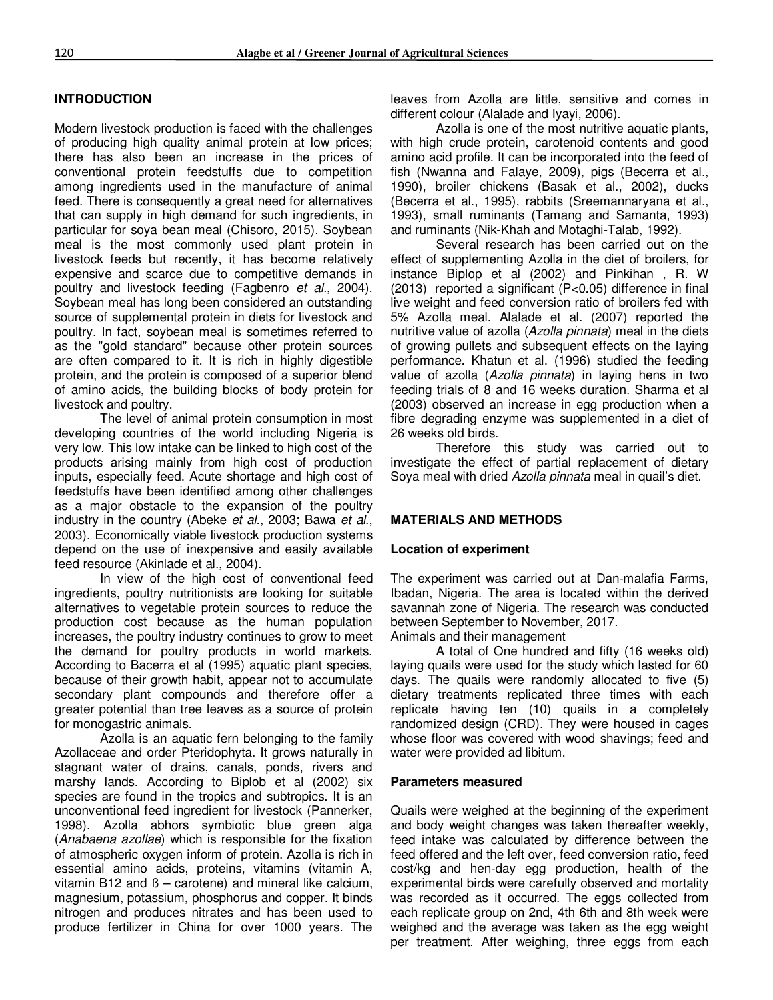#### **INTRODUCTION**

Modern livestock production is faced with the challenges of producing high quality animal protein at low prices; there has also been an increase in the prices of conventional protein feedstuffs due to competition among ingredients used in the manufacture of animal feed. There is consequently a great need for alternatives that can supply in high demand for such ingredients, in particular for soya bean meal (Chisoro, 2015). Soybean meal is the most commonly used plant protein in livestock feeds but recently, it has become relatively expensive and scarce due to competitive demands in poultry and livestock feeding (Fagbenro *et al.*, 2004). Soybean meal has long been considered an outstanding source of supplemental protein in diets for livestock and poultry. In fact, soybean meal is sometimes referred to as the "gold standard" because other protein sources are often compared to it. It is rich in highly digestible protein, and the protein is composed of a superior blend of amino acids, the building blocks of body protein for livestock and poultry.

The level of animal protein consumption in most developing countries of the world including Nigeria is very low. This low intake can be linked to high cost of the products arising mainly from high cost of production inputs, especially feed. Acute shortage and high cost of feedstuffs have been identified among other challenges as a major obstacle to the expansion of the poultry industry in the country (Abeke *et al*., 2003; Bawa *et al*., 2003). Economically viable livestock production systems depend on the use of inexpensive and easily available feed resource (Akinlade et al., 2004).

In view of the high cost of conventional feed ingredients, poultry nutritionists are looking for suitable alternatives to vegetable protein sources to reduce the production cost because as the human population increases, the poultry industry continues to grow to meet the demand for poultry products in world markets. According to Bacerra et al (1995) aquatic plant species, because of their growth habit, appear not to accumulate secondary plant compounds and therefore offer a greater potential than tree leaves as a source of protein for monogastric animals.

Azolla is an aquatic fern belonging to the family Azollaceae and order Pteridophyta. It grows naturally in stagnant water of drains, canals, ponds, rivers and marshy lands. According to Biplob et al (2002) six species are found in the tropics and subtropics. It is an unconventional feed ingredient for livestock (Pannerker, 1998). Azolla abhors symbiotic blue green alga (*Anabaena azollae*) which is responsible for the fixation of atmospheric oxygen inform of protein. Azolla is rich in essential amino acids, proteins, vitamins (vitamin A, vitamin B12 and ß – carotene) and mineral like calcium, magnesium, potassium, phosphorus and copper. It binds nitrogen and produces nitrates and has been used to produce fertilizer in China for over 1000 years. The

leaves from Azolla are little, sensitive and comes in different colour (Alalade and Iyayi, 2006).

Azolla is one of the most nutritive aquatic plants, with high crude protein, carotenoid contents and good amino acid profile. It can be incorporated into the feed of fish (Nwanna and Falaye, 2009), pigs (Becerra et al., 1990), broiler chickens (Basak et al., 2002), ducks (Becerra et al., 1995), rabbits (Sreemannaryana et al., 1993), small ruminants (Tamang and Samanta, 1993) and ruminants (Nik-Khah and Motaghi-Talab, 1992).

Several research has been carried out on the effect of supplementing Azolla in the diet of broilers, for instance Biplop et al (2002) and Pinkihan , R. W (2013) reported a significant (P<0.05) difference in final live weight and feed conversion ratio of broilers fed with 5% Azolla meal. Alalade et al. (2007) reported the nutritive value of azolla (*Azolla pinnata*) meal in the diets of growing pullets and subsequent effects on the laying performance. Khatun et al. (1996) studied the feeding value of azolla (*Azolla pinnata*) in laying hens in two feeding trials of 8 and 16 weeks duration. Sharma et al (2003) observed an increase in egg production when a fibre degrading enzyme was supplemented in a diet of 26 weeks old birds.

Therefore this study was carried out to investigate the effect of partial replacement of dietary Soya meal with dried *Azolla pinnata* meal in quail's diet.

#### **MATERIALS AND METHODS**

#### **Location of experiment**

The experiment was carried out at Dan-malafia Farms, Ibadan, Nigeria. The area is located within the derived savannah zone of Nigeria. The research was conducted between September to November, 2017. Animals and their management

A total of One hundred and fifty (16 weeks old) laying quails were used for the study which lasted for 60 days. The quails were randomly allocated to five (5) dietary treatments replicated three times with each replicate having ten (10) quails in a completely randomized design (CRD). They were housed in cages whose floor was covered with wood shavings; feed and water were provided ad libitum.

#### **Parameters measured**

Quails were weighed at the beginning of the experiment and body weight changes was taken thereafter weekly, feed intake was calculated by difference between the feed offered and the left over, feed conversion ratio, feed cost/kg and hen-day egg production, health of the experimental birds were carefully observed and mortality was recorded as it occurred. The eggs collected from each replicate group on 2nd, 4th 6th and 8th week were weighed and the average was taken as the egg weight per treatment. After weighing, three eggs from each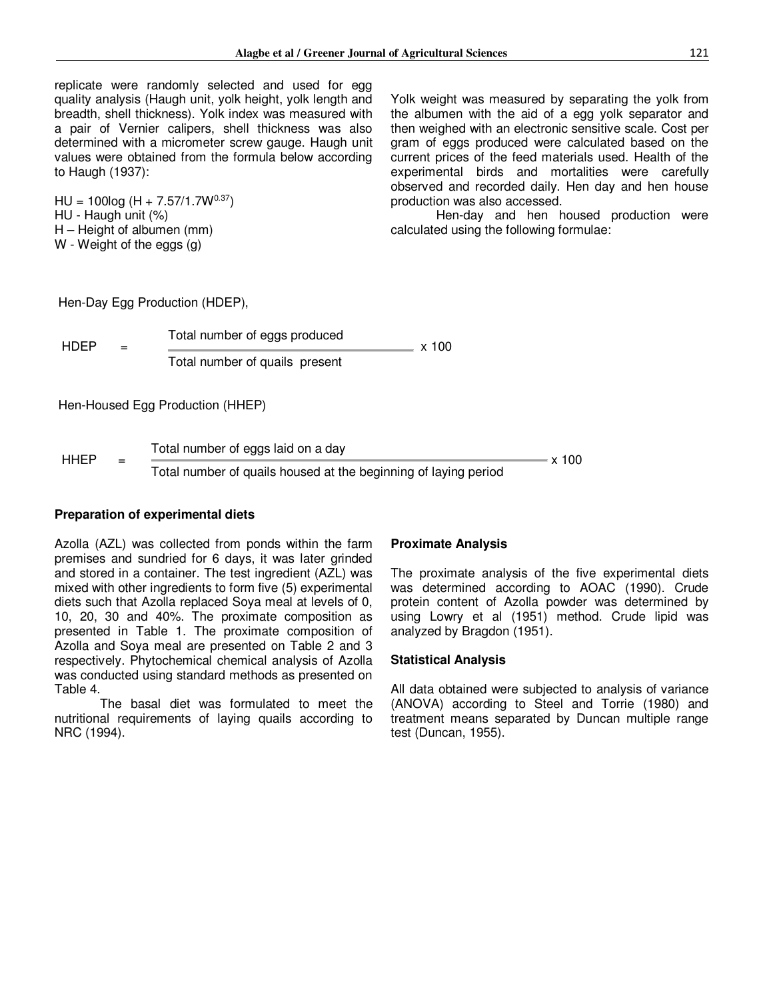replicate were randomly selected and used for egg quality analysis (Haugh unit, yolk height, yolk length and breadth, shell thickness). Yolk index was measured with a pair of Vernier calipers, shell thickness was also determined with a micrometer screw gauge. Haugh unit values were obtained from the formula below according to Haugh (1937):

 $HU = 100log (H + 7.57/1.7W^{0.37})$ HU - Haugh unit (%) H – Height of albumen (mm) W - Weight of the eggs (g)

Yolk weight was measured by separating the yolk from the albumen with the aid of a egg yolk separator and then weighed with an electronic sensitive scale. Cost per gram of eggs produced were calculated based on the current prices of the feed materials used. Health of the experimental birds and mortalities were carefully observed and recorded daily. Hen day and hen house production was also accessed.

Hen-day and hen housed production were calculated using the following formulae:

Hen-Day Egg Production (HDEP),

| HDEP |  | Total number of eggs produced  |  |
|------|--|--------------------------------|--|
|      |  | Total number of quails present |  |

Hen-Housed Egg Production (HHEP)

 $HHEP =$ 

Total number of eggs laid on a day x 100 Total number of quails housed at the beginning of laying period

#### **Preparation of experimental diets**

Azolla (AZL) was collected from ponds within the farm premises and sundried for 6 days, it was later grinded and stored in a container. The test ingredient (AZL) was mixed with other ingredients to form five (5) experimental diets such that Azolla replaced Soya meal at levels of 0, 10, 20, 30 and 40%. The proximate composition as presented in Table 1. The proximate composition of Azolla and Soya meal are presented on Table 2 and 3 respectively. Phytochemical chemical analysis of Azolla was conducted using standard methods as presented on Table 4.

The basal diet was formulated to meet the nutritional requirements of laying quails according to NRC (1994).

#### **Proximate Analysis**

x 100

The proximate analysis of the five experimental diets was determined according to AOAC (1990). Crude protein content of Azolla powder was determined by using Lowry et al (1951) method. Crude lipid was analyzed by Bragdon (1951).

#### **Statistical Analysis**

All data obtained were subjected to analysis of variance (ANOVA) according to Steel and Torrie (1980) and treatment means separated by Duncan multiple range test (Duncan, 1955).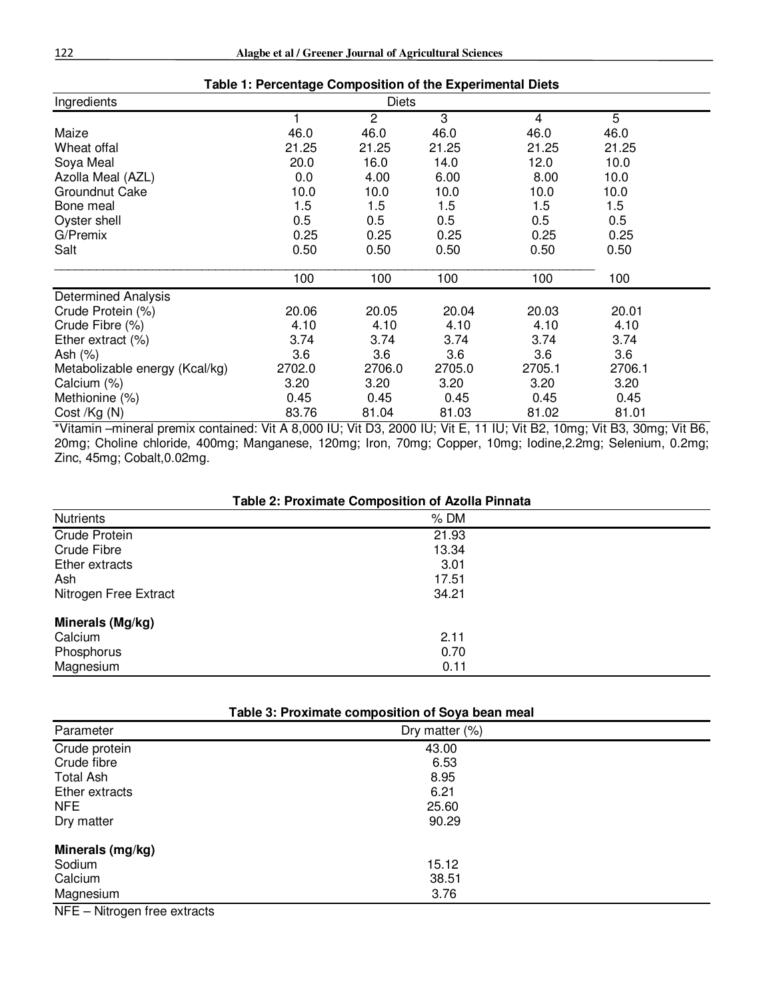| Table 1: Percentage Composition of the Experimental Diets |        |                |        |        |        |  |  |
|-----------------------------------------------------------|--------|----------------|--------|--------|--------|--|--|
| Ingredients                                               |        |                |        |        |        |  |  |
|                                                           |        | $\overline{2}$ | 3      | 4      | 5      |  |  |
| Maize                                                     | 46.0   | 46.0           | 46.0   | 46.0   | 46.0   |  |  |
| Wheat offal                                               | 21.25  | 21.25          | 21.25  | 21.25  | 21.25  |  |  |
| Soya Meal                                                 | 20.0   | 16.0           | 14.0   | 12.0   | 10.0   |  |  |
| Azolla Meal (AZL)                                         | 0.0    | 4.00           | 6.00   | 8.00   | 10.0   |  |  |
| Groundnut Cake                                            | 10.0   | 10.0           | 10.0   | 10.0   | 10.0   |  |  |
| Bone meal                                                 | 1.5    | 1.5            | 1.5    | 1.5    | 1.5    |  |  |
| Oyster shell                                              | 0.5    | 0.5            | 0.5    | 0.5    | 0.5    |  |  |
| G/Premix                                                  | 0.25   | 0.25           | 0.25   | 0.25   | 0.25   |  |  |
| Salt                                                      | 0.50   | 0.50           | 0.50   | 0.50   | 0.50   |  |  |
|                                                           | 100    | 100            | 100    | 100    | 100    |  |  |
| <b>Determined Analysis</b>                                |        |                |        |        |        |  |  |
| Crude Protein (%)                                         | 20.06  | 20.05          | 20.04  | 20.03  | 20.01  |  |  |
| Crude Fibre (%)                                           | 4.10   | 4.10           | 4.10   | 4.10   | 4.10   |  |  |
| Ether extract $(\%)$                                      | 3.74   | 3.74           | 3.74   | 3.74   | 3.74   |  |  |
| Ash (%)                                                   | 3.6    | 3.6            | 3.6    | 3.6    | 3.6    |  |  |
| Metabolizable energy (Kcal/kg)                            | 2702.0 | 2706.0         | 2705.0 | 2705.1 | 2706.1 |  |  |
| Calcium (%)                                               | 3.20   | 3.20           | 3.20   | 3.20   | 3.20   |  |  |
| Methionine (%)                                            | 0.45   | 0.45           | 0.45   | 0.45   | 0.45   |  |  |
| Cost /Kg (N)                                              | 83.76  | 81.04          | 81.03  | 81.02  | 81.01  |  |  |

\*Vitamin –mineral premix contained: Vit A 8,000 IU; Vit D3, 2000 IU; Vit E, 11 IU; Vit B2, 10mg; Vit B3, 30mg; Vit B6, 20mg; Choline chloride, 400mg; Manganese, 120mg; Iron, 70mg; Copper, 10mg; Iodine,2.2mg; Selenium, 0.2mg; Zinc, 45mg; Cobalt,0.02mg.

| Table 2: Proximate Composition of Azolla Pinnata |
|--------------------------------------------------|
|                                                  |

| <b>Nutrients</b>      | $%$ DM |  |
|-----------------------|--------|--|
| <b>Crude Protein</b>  | 21.93  |  |
| Crude Fibre           | 13.34  |  |
| Ether extracts        | 3.01   |  |
| Ash                   | 17.51  |  |
| Nitrogen Free Extract | 34.21  |  |
| Minerals (Mg/kg)      |        |  |
| Calcium               | 2.11   |  |
| Phosphorus            | 0.70   |  |
| Magnesium             | 0.11   |  |

| Table 3: Proximate composition of Soya bean meal |                   |  |  |  |  |
|--------------------------------------------------|-------------------|--|--|--|--|
| Parameter                                        | Dry matter $(\%)$ |  |  |  |  |
| Crude protein                                    | 43.00             |  |  |  |  |
| Crude fibre                                      | 6.53              |  |  |  |  |
| <b>Total Ash</b>                                 | 8.95              |  |  |  |  |
| Ether extracts                                   | 6.21              |  |  |  |  |
| NFE.                                             | 25.60             |  |  |  |  |
| Dry matter                                       | 90.29             |  |  |  |  |
| Minerals (mg/kg)                                 |                   |  |  |  |  |
| Sodium                                           | 15.12             |  |  |  |  |
| Calcium                                          | 38.51             |  |  |  |  |
| Magnesium                                        | 3.76              |  |  |  |  |

NFE – Nitrogen free extracts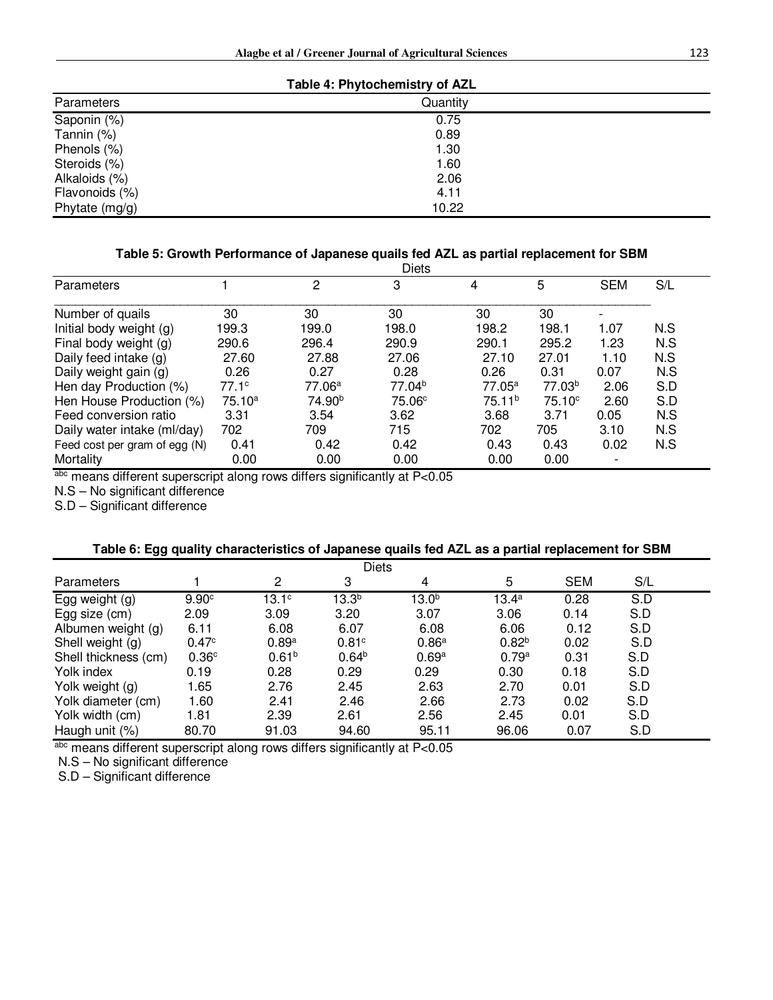| Table 4: Phytochemistry of AZL |          |  |  |  |  |
|--------------------------------|----------|--|--|--|--|
| Parameters                     | Quantity |  |  |  |  |
| Saponin (%)                    | 0.75     |  |  |  |  |
| Tannin (%)                     | 0.89     |  |  |  |  |
| Phenols (%)                    | 1.30     |  |  |  |  |
| Steroids (%)                   | 1.60     |  |  |  |  |
| Alkaloids (%)                  | 2.06     |  |  |  |  |
| Flavonoids (%)                 | 4.11     |  |  |  |  |
| Phytate $(mg/g)$               | 10.22    |  |  |  |  |

#### **Table 5: Growth Performance of Japanese quails fed AZL as partial replacement for SBM**

|                               |                   |                    | <b>Diets</b>       |                    |                    |                          |     |
|-------------------------------|-------------------|--------------------|--------------------|--------------------|--------------------|--------------------------|-----|
| Parameters                    |                   | 2                  | 3                  | 4                  | 5                  | <b>SEM</b>               | S/L |
| Number of quails              | 30                | 30                 | 30                 | 30                 | 30                 | ٠                        |     |
| Initial body weight (g)       | 199.3             | 199.0              | 198.0              | 198.2              | 198.1              | 1.07                     | N.S |
| Final body weight (g)         | 290.6             | 296.4              | 290.9              | 290.1              | 295.2              | 1.23                     | N.S |
| Daily feed intake (g)         | 27.60             | 27.88              | 27.06              | 27.10              | 27.01              | 1.10                     | N.S |
| Daily weight gain (g)         | 0.26              | 0.27               | 0.28               | 0.26               | 0.31               | 0.07                     | N.S |
| Hen day Production (%)        | 77.1 <sup>c</sup> | 77.06 <sup>a</sup> | 77.04 <sup>b</sup> | $77.05^a$          | 77.03 <sup>b</sup> | 2.06                     | S.D |
| Hen House Production (%)      | 75.10a            | 74.90 <sup>b</sup> | 75.06 <sup>c</sup> | 75.11 <sup>b</sup> | 75.10 <sup>c</sup> | 2.60                     | S.D |
| Feed conversion ratio         | 3.31              | 3.54               | 3.62               | 3.68               | 3.71               | 0.05                     | N.S |
| Daily water intake (ml/day)   | 702               | 709                | 715                | 702                | 705                | 3.10                     | N.S |
| Feed cost per gram of egg (N) | 0.41              | 0.42               | 0.42               | 0.43               | 0.43               | 0.02                     | N.S |
| Mortality                     | 0.00              | 0.00               | 0.00               | 0.00               | 0.00               | $\overline{\phantom{a}}$ |     |

abc means different superscript along rows differs significantly at P<0.05

N.S – No significant difference

S.D – Significant difference

#### **Table 6: Egg quality characteristics of Japanese quails fed AZL as a partial replacement for SBM**

| <b>Diets</b>         |                   |                   |                   |                   |                   |            |     |  |
|----------------------|-------------------|-------------------|-------------------|-------------------|-------------------|------------|-----|--|
| <b>Parameters</b>    |                   | 2                 | 3                 | 4                 | 5                 | <b>SEM</b> | S/L |  |
| Egg weight (g)       | 9.90 <sup>c</sup> | $13.1^{\circ}$    | $13.3^{b}$        | $13.0^b$          | $13.4^a$          | 0.28       | S.D |  |
| Egg size (cm)        | 2.09              | 3.09              | 3.20              | 3.07              | 3.06              | 0.14       | S.D |  |
| Albumen weight (g)   | 6.11              | 6.08              | 6.07              | 6.08              | 6.06              | 0.12       | S.D |  |
| Shell weight (g)     | 0.47 <sup>c</sup> | 0.89a             | 0.81 <sup>c</sup> | 0.86 <sup>a</sup> | 0.82 <sup>b</sup> | 0.02       | S.D |  |
| Shell thickness (cm) | 0.36 <sup>c</sup> | 0.61 <sup>b</sup> | $0.64^{b}$        | 0.69 <sup>a</sup> | 0.79a             | 0.31       | S.D |  |
| Yolk index           | 0.19              | 0.28              | 0.29              | 0.29              | 0.30              | 0.18       | S.D |  |
| Yolk weight (g)      | 1.65              | 2.76              | 2.45              | 2.63              | 2.70              | 0.01       | S.D |  |
| Yolk diameter (cm)   | 1.60              | 2.41              | 2.46              | 2.66              | 2.73              | 0.02       | S.D |  |
| Yolk width (cm)      | 1.81              | 2.39              | 2.61              | 2.56              | 2.45              | 0.01       | S.D |  |
| Haugh unit (%)       | 80.70             | 91.03             | 94.60             | 95.11             | 96.06             | 0.07       | S.D |  |

abc means different superscript along rows differs significantly at P<0.05

N.S – No significant difference

S.D – Significant difference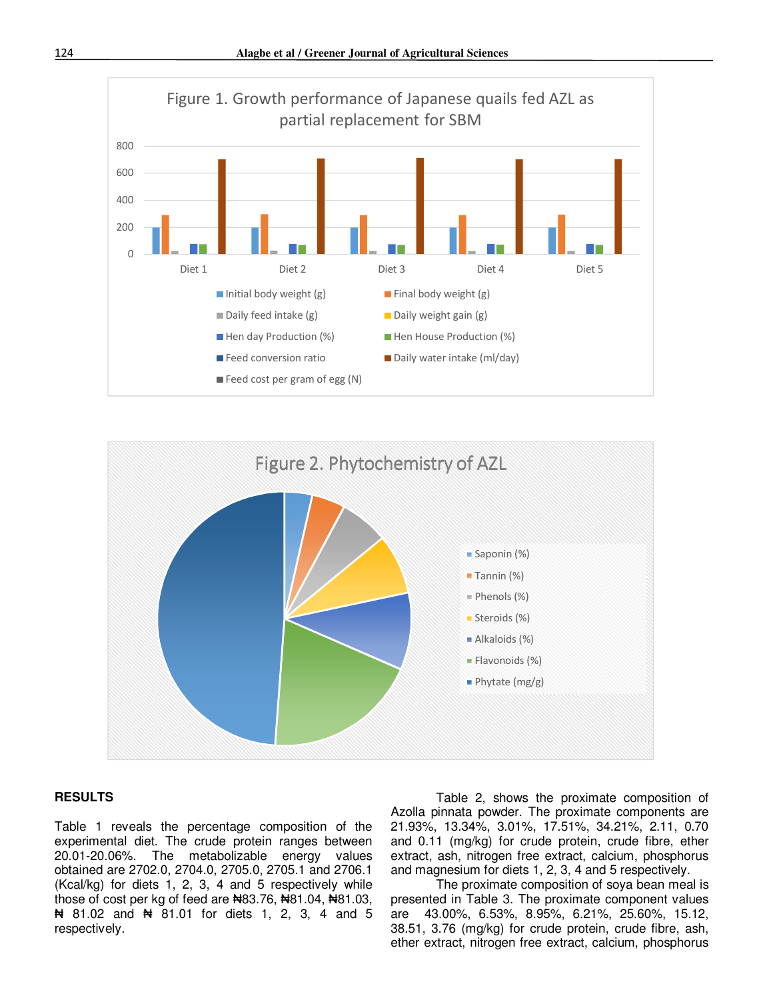



#### **RESULTS**

Table 1 reveals the percentage composition of the experimental diet. The crude protein ranges between 20.01-20.06%. The metabolizable energy values obtained are 2702.0, 2704.0, 2705.0, 2705.1 and 2706.1 (Kcal/kg) for diets 1, 2, 3, 4 and 5 respectively while those of cost per kg of feed are  $\text{A}83.76$ ,  $\text{A}81.04$ ,  $\text{A}81.03$ , ₦ 81.02 and ₦ 81.01 for diets 1, 2, 3, 4 and 5 respectively.

Table 2, shows the proximate composition of Azolla pinnata powder. The proximate components are 21.93%, 13.34%, 3.01%, 17.51%, 34.21%, 2.11, 0.70 and 0.11 (mg/kg) for crude protein, crude fibre, ether extract, ash, nitrogen free extract, calcium, phosphorus and magnesium for diets 1, 2, 3, 4 and 5 respectively.

The proximate composition of soya bean meal is presented in Table 3. The proximate component values are 43.00%, 6.53%, 8.95%, 6.21%, 25.60%, 15.12, 38.51, 3.76 (mg/kg) for crude protein, crude fibre, ash, ether extract, nitrogen free extract, calcium, phosphorus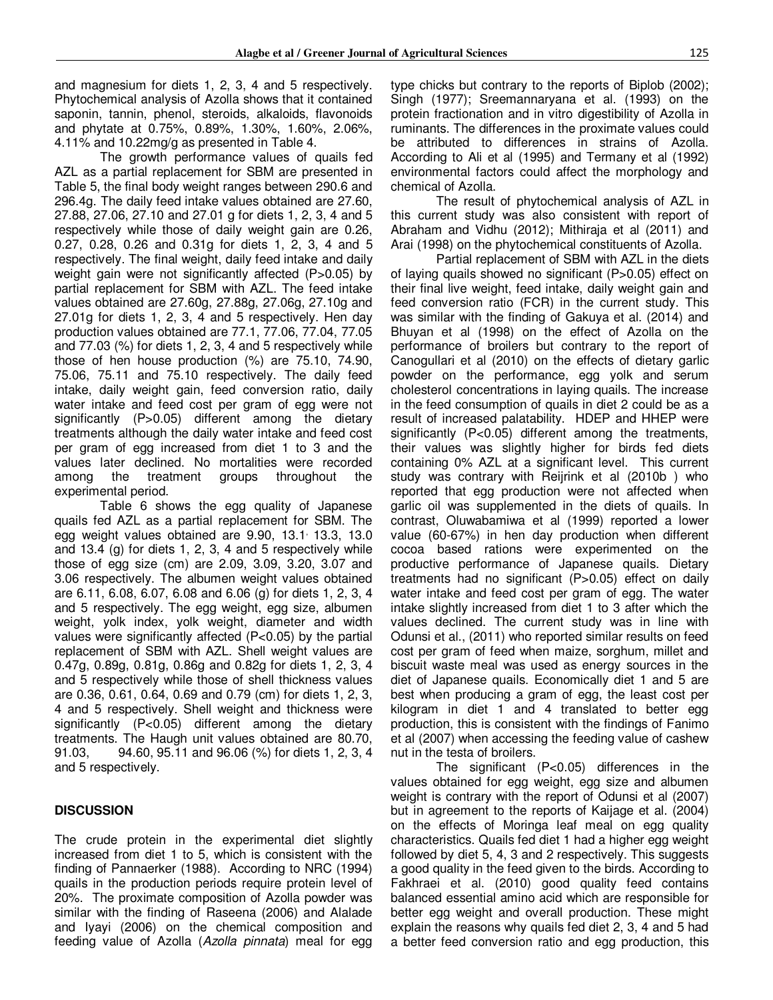and magnesium for diets 1, 2, 3, 4 and 5 respectively. Phytochemical analysis of Azolla shows that it contained saponin, tannin, phenol, steroids, alkaloids, flavonoids and phytate at 0.75%, 0.89%, 1.30%, 1.60%, 2.06%, 4.11% and 10.22mg/g as presented in Table 4.

The growth performance values of quails fed AZL as a partial replacement for SBM are presented in Table 5, the final body weight ranges between 290.6 and 296.4g. The daily feed intake values obtained are 27.60, 27.88, 27.06, 27.10 and 27.01 g for diets 1, 2, 3, 4 and 5 respectively while those of daily weight gain are 0.26, 0.27, 0.28, 0.26 and 0.31g for diets 1, 2, 3, 4 and 5 respectively. The final weight, daily feed intake and daily weight gain were not significantly affected (P>0.05) by partial replacement for SBM with AZL. The feed intake values obtained are 27.60g, 27.88g, 27.06g, 27.10g and 27.01g for diets 1, 2, 3, 4 and 5 respectively. Hen day production values obtained are 77.1, 77.06, 77.04, 77.05 and 77.03 (%) for diets 1, 2, 3, 4 and 5 respectively while those of hen house production (%) are 75.10, 74.90, 75.06, 75.11 and 75.10 respectively. The daily feed intake, daily weight gain, feed conversion ratio, daily water intake and feed cost per gram of egg were not significantly (P>0.05) different among the dietary treatments although the daily water intake and feed cost per gram of egg increased from diet 1 to 3 and the values later declined. No mortalities were recorded among the treatment groups throughout the experimental period.

Table 6 shows the egg quality of Japanese quails fed AZL as a partial replacement for SBM. The egg weight values obtained are 9.90, 13.1<sup>,</sup> 13.3, 13.0 and 13.4 (g) for diets 1, 2, 3, 4 and 5 respectively while those of egg size (cm) are 2.09, 3.09, 3.20, 3.07 and 3.06 respectively. The albumen weight values obtained are 6.11, 6.08, 6.07, 6.08 and 6.06 (g) for diets 1, 2, 3, 4 and 5 respectively. The egg weight, egg size, albumen weight, yolk index, yolk weight, diameter and width values were significantly affected (P<0.05) by the partial replacement of SBM with AZL. Shell weight values are 0.47g, 0.89g, 0.81g, 0.86g and 0.82g for diets 1, 2, 3, 4 and 5 respectively while those of shell thickness values are 0.36, 0.61, 0.64, 0.69 and 0.79 (cm) for diets 1, 2, 3, 4 and 5 respectively. Shell weight and thickness were significantly (P<0.05) different among the dietary treatments. The Haugh unit values obtained are 80.70, 91.03, 94.60, 95.11 and 96.06 (%) for diets 1, 2, 3, 4 and 5 respectively.

#### **DISCUSSION**

The crude protein in the experimental diet slightly increased from diet 1 to 5, which is consistent with the finding of Pannaerker (1988). According to NRC (1994) quails in the production periods require protein level of 20%. The proximate composition of Azolla powder was similar with the finding of Raseena (2006) and Alalade and Iyayi (2006) on the chemical composition and feeding value of Azolla (*Azolla pinnata*) meal for egg type chicks but contrary to the reports of Biplob (2002); Singh (1977); Sreemannaryana et al. (1993) on the protein fractionation and in vitro digestibility of Azolla in ruminants. The differences in the proximate values could be attributed to differences in strains of Azolla. According to Ali et al (1995) and Termany et al (1992) environmental factors could affect the morphology and chemical of Azolla.

The result of phytochemical analysis of AZL in this current study was also consistent with report of Abraham and Vidhu (2012); Mithiraja et al (2011) and Arai (1998) on the phytochemical constituents of Azolla.

Partial replacement of SBM with AZL in the diets of laying quails showed no significant (P>0.05) effect on their final live weight, feed intake, daily weight gain and feed conversion ratio (FCR) in the current study. This was similar with the finding of Gakuya et al. (2014) and Bhuyan et al (1998) on the effect of Azolla on the performance of broilers but contrary to the report of Canogullari et al (2010) on the effects of dietary garlic powder on the performance, egg yolk and serum cholesterol concentrations in laying quails. The increase in the feed consumption of quails in diet 2 could be as a result of increased palatability. HDEP and HHEP were significantly (P<0.05) different among the treatments, their values was slightly higher for birds fed diets containing 0% AZL at a significant level. This current study was contrary with Reijrink et al (2010b ) who reported that egg production were not affected when garlic oil was supplemented in the diets of quails. In contrast, Oluwabamiwa et al (1999) reported a lower value (60-67%) in hen day production when different cocoa based rations were experimented on the productive performance of Japanese quails. Dietary treatments had no significant (P>0.05) effect on daily water intake and feed cost per gram of egg. The water intake slightly increased from diet 1 to 3 after which the values declined. The current study was in line with Odunsi et al., (2011) who reported similar results on feed cost per gram of feed when maize, sorghum, millet and biscuit waste meal was used as energy sources in the diet of Japanese quails. Economically diet 1 and 5 are best when producing a gram of egg, the least cost per kilogram in diet 1 and 4 translated to better egg production, this is consistent with the findings of Fanimo et al (2007) when accessing the feeding value of cashew nut in the testa of broilers.

The significant (P<0.05) differences in the values obtained for egg weight, egg size and albumen weight is contrary with the report of Odunsi et al (2007) but in agreement to the reports of Kaijage et al. (2004) on the effects of Moringa leaf meal on egg quality characteristics. Quails fed diet 1 had a higher egg weight followed by diet 5, 4, 3 and 2 respectively. This suggests a good quality in the feed given to the birds. According to Fakhraei et al. (2010) good quality feed contains balanced essential amino acid which are responsible for better egg weight and overall production. These might explain the reasons why quails fed diet 2, 3, 4 and 5 had a better feed conversion ratio and egg production, this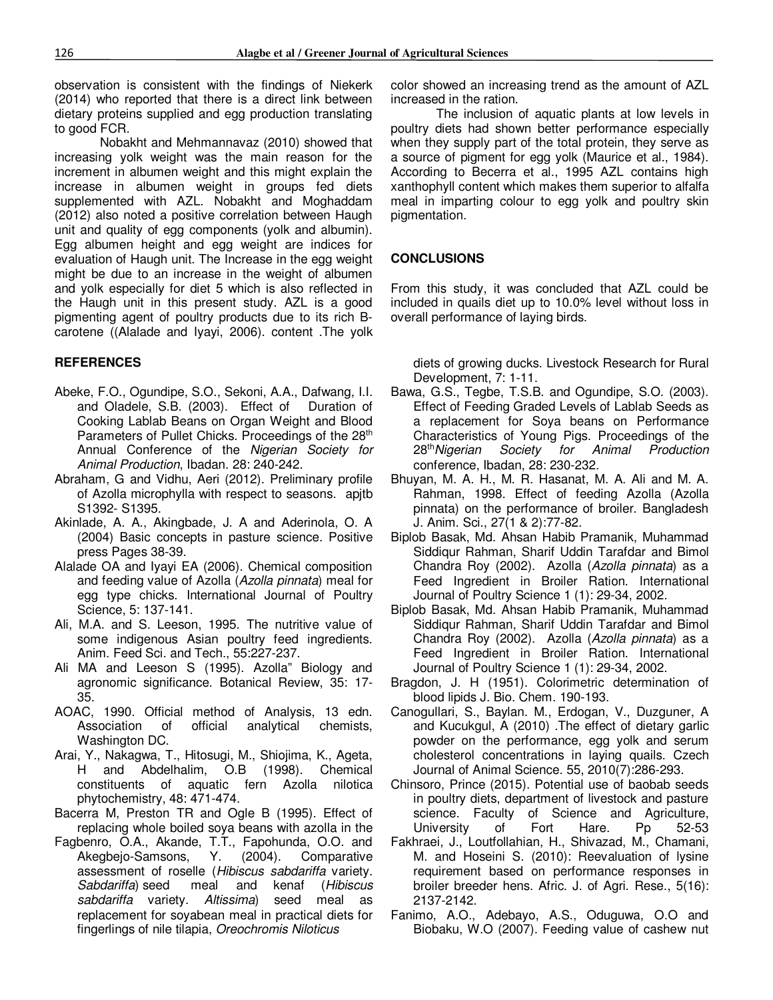observation is consistent with the findings of Niekerk (2014) who reported that there is a direct link between dietary proteins supplied and egg production translating to good FCR.

Nobakht and Mehmannavaz (2010) showed that increasing yolk weight was the main reason for the increment in albumen weight and this might explain the increase in albumen weight in groups fed diets supplemented with AZL. Nobakht and Moghaddam (2012) also noted a positive correlation between Haugh unit and quality of egg components (yolk and albumin). Egg albumen height and egg weight are indices for evaluation of Haugh unit. The Increase in the egg weight might be due to an increase in the weight of albumen and yolk especially for diet 5 which is also reflected in the Haugh unit in this present study. AZL is a good pigmenting agent of poultry products due to its rich Bcarotene ((Alalade and Iyayi, 2006). content .The yolk

#### **REFERENCES**

- Abeke, F.O., Ogundipe, S.O., Sekoni, A.A., Dafwang, I.I. and Oladele, S.B. (2003). Effect of Duration of Cooking Lablab Beans on Organ Weight and Blood Parameters of Pullet Chicks. Proceedings of the 28<sup>th</sup> Annual Conference of the *Nigerian Society for Animal Production*, Ibadan. 28: 240-242.
- Abraham, G and Vidhu, Aeri (2012). Preliminary profile of Azolla microphylla with respect to seasons. apjtb S1392- S1395.
- Akinlade, A. A., Akingbade, J. A and Aderinola, O. A (2004) Basic concepts in pasture science. Positive press Pages 38-39.
- Alalade OA and Iyayi EA (2006). Chemical composition and feeding value of Azolla (*Azolla pinnata*) meal for egg type chicks. International Journal of Poultry Science, 5: 137-141.
- Ali, M.A. and S. Leeson, 1995. The nutritive value of some indigenous Asian poultry feed ingredients. Anim. Feed Sci. and Tech., 55:227-237.
- Ali MA and Leeson S (1995). Azolla" Biology and agronomic significance. Botanical Review, 35: 17- 35.
- AOAC, 1990. Official method of Analysis, 13 edn. Association of official analytical chemists, Washington DC.
- Arai, Y., Nakagwa, T., Hitosugi, M., Shiojima, K., Ageta, H and Abdelhalim, O.B (1998). Chemical constituents of aquatic fern Azolla nilotica phytochemistry, 48: 471-474.
- Bacerra M, Preston TR and Ogle B (1995). Effect of replacing whole boiled soya beans with azolla in the
- Fagbenro, O.A., Akande, T.T., Fapohunda, O.O. and Akegbejo-Samsons, Y. (2004). Comparative assessment of roselle (*Hibiscus sabdariffa* variety. *Sabdariffa*) seed meal and kenaf (*Hibiscus sabdariffa* variety. *Altissima*) seed meal as replacement for soyabean meal in practical diets for fingerlings of nile tilapia, *Oreochromis Niloticus*

color showed an increasing trend as the amount of AZL increased in the ration.

The inclusion of aquatic plants at low levels in poultry diets had shown better performance especially when they supply part of the total protein, they serve as a source of pigment for egg yolk (Maurice et al., 1984). According to Becerra et al., 1995 AZL contains high xanthophyll content which makes them superior to alfalfa meal in imparting colour to egg yolk and poultry skin pigmentation.

### **CONCLUSIONS**

From this study, it was concluded that AZL could be included in quails diet up to 10.0% level without loss in overall performance of laying birds.

diets of growing ducks. Livestock Research for Rural Development, 7: 1-11.

- Bawa, G.S., Tegbe, T.S.B. and Ogundipe, S.O. (2003). Effect of Feeding Graded Levels of Lablab Seeds as a replacement for Soya beans on Performance Characteristics of Young Pigs. Proceedings of the 28<sup>th</sup> Nigerian Society for Animal Production **Society for Animal** conference, Ibadan, 28: 230-232.
- Bhuyan, M. A. H., M. R. Hasanat, M. A. Ali and M. A. Rahman, 1998. Effect of feeding Azolla (Azolla pinnata) on the performance of broiler. Bangladesh J. Anim. Sci., 27(1 & 2):77-82.
- Biplob Basak, Md. Ahsan Habib Pramanik, Muhammad Siddiqur Rahman, Sharif Uddin Tarafdar and Bimol Chandra Roy (2002). Azolla (*Azolla pinnata*) as a Feed Ingredient in Broiler Ration. International Journal of Poultry Science 1 (1): 29-34, 2002.
- Biplob Basak, Md. Ahsan Habib Pramanik, Muhammad Siddiqur Rahman, Sharif Uddin Tarafdar and Bimol Chandra Roy (2002). Azolla (*Azolla pinnata*) as a Feed Ingredient in Broiler Ration. International Journal of Poultry Science 1 (1): 29-34, 2002.
- Bragdon, J. H (1951). Colorimetric determination of blood lipids J. Bio. Chem. 190-193.
- Canogullari, S., Baylan. M., Erdogan, V., Duzguner, A and Kucukgul, A (2010) .The effect of dietary garlic powder on the performance, egg yolk and serum cholesterol concentrations in laying quails. Czech Journal of Animal Science. 55, 2010(7):286-293.
- Chinsoro, Prince (2015). Potential use of baobab seeds in poultry diets, department of livestock and pasture science. Faculty of Science and Agriculture, University of Fort Hare. Pp 52-53
- Fakhraei, J., Loutfollahian, H., Shivazad, M., Chamani, M. and Hoseini S. (2010): Reevaluation of lysine requirement based on performance responses in broiler breeder hens. Afric. J. of Agri. Rese., 5(16): 2137-2142.
- Fanimo, A.O., Adebayo, A.S., Oduguwa, O.O and Biobaku, W.O (2007). Feeding value of cashew nut